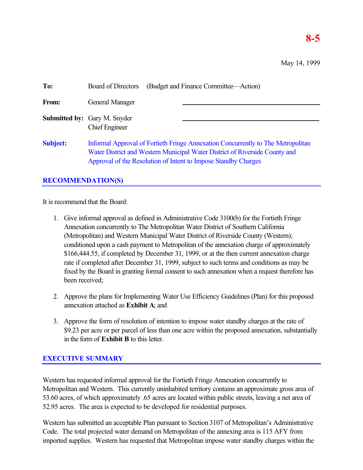# **8-5**

| To:             | (Budget and Finance Committee—Action)<br>Board of Directors                                                                                                                                                                       |  |
|-----------------|-----------------------------------------------------------------------------------------------------------------------------------------------------------------------------------------------------------------------------------|--|
| From:           | General Manager                                                                                                                                                                                                                   |  |
|                 | <b>Submitted by:</b> Gary M. Snyder<br><b>Chief Engineer</b>                                                                                                                                                                      |  |
| <b>Subject:</b> | Informal Approval of Fortieth Fringe Annexation Concurrently to The Metropolitan<br>Water District and Western Municipal Water District of Riverside County and<br>Approval of the Resolution of Intent to Impose Standby Charges |  |

## **RECOMMENDATION(S)**

It is recommend that the Board:

- 1. Give informal approval as defined in Administrative Code 3100(b) for the Fortieth Fringe Annexation concurrently to The Metropolitan Water District of Southern California (Metropolitan) and Western Municipal Water District of Riverside County (Western); conditioned upon a cash payment to Metropolitan of the annexation charge of approximately \$166,444.55, if completed by December 31, 1999, or at the then current annexation charge rate if completed after December 31, 1999, subject to such terms and conditions as may be fixed by the Board in granting formal consent to such annexation when a request therefore has been received;
- 2. Approve the plans for Implementing Water Use Efficiency Guidelines (Plan) for this proposed annexation attached as **Exhibit A**; and
- 3. Approve the form of resolution of intention to impose water standby charges at the rate of \$9.23 per acre or per parcel of less than one acre within the proposed annexation, substantially in the form of **Exhibit B** to this letter.

## **EXECUTIVE SUMMARY**

Western has requested informal approval for the Fortieth Fringe Annexation concurrently to Metropolitan and Western. This currently uninhabited territory contains an approximate gross area of 53.60 acres, of which approximately .65 acres are located within public streets, leaving a net area of 52.95 acres. The area is expected to be developed for residential purposes.

Western has submitted an acceptable Plan pursuant to Section 3107 of Metropolitan's Administrative Code. The total projected water demand on Metropolitan of the annexing area is 115 AFY from imported supplies. Western has requested that Metropolitan impose water standby charges within the